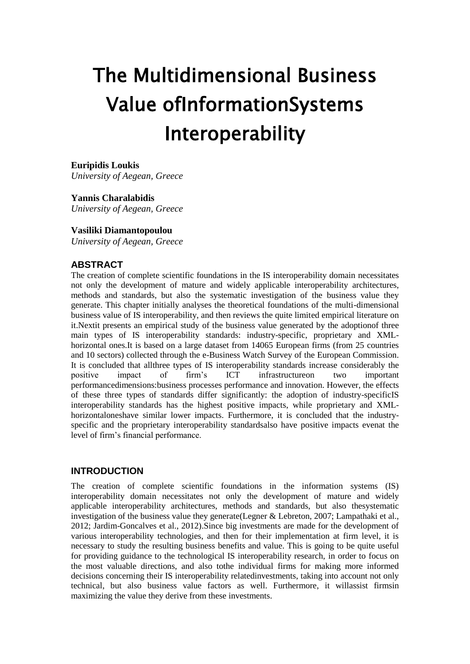# The Multidimensional Business Value ofInformationSystems Interoperability

#### **Euripidis Loukis**

*University of Aegean, Greece*

#### **Yannis Charalabidis**

*University of Aegean, Greece*

#### **Vasiliki Diamantopoulou**

*University of Aegean, Greece*

## **ABSTRACT**

The creation of complete scientific foundations in the IS interoperability domain necessitates not only the development of mature and widely applicable interoperability architectures, methods and standards, but also the systematic investigation of the business value they generate. This chapter initially analyses the theoretical foundations of the multi-dimensional business value of IS interoperability, and then reviews the quite limited empirical literature on it.Nextit presents an empirical study of the business value generated by the adoptionof three main types of IS interoperability standards: industry-specific, proprietary and XMLhorizontal ones. It is based on a large dataset from 14065 European firms (from 25 countries and 10 sectors) collected through the e-Business Watch Survey of the European Commission. It is concluded that allthree types of IS interoperability standards increase considerably the positive impact of firm"s ICT infrastructureon two important performancedimensions:business processes performance and innovation. However, the effects of these three types of standards differ significantly: the adoption of industry-specificIS interoperability standards has the highest positive impacts, while proprietary and XMLhorizontaloneshave similar lower impacts. Furthermore, it is concluded that the industryspecific and the proprietary interoperability standardsalso have positive impacts evenat the level of firm"s financial performance.

# **INTRODUCTION**

The creation of complete scientific foundations in the information systems (IS) interoperability domain necessitates not only the development of mature and widely applicable interoperability architectures, methods and standards, but also thesystematic investigation of the business value they generate (Legner & Lebreton, 2007; Lampathaki et al., 2012; Jardim-Goncalves et al., 2012).Since big investments are made for the development of various interoperability technologies, and then for their implementation at firm level, it is necessary to study the resulting business benefits and value. This is going to be quite useful for providing guidance to the technological IS interoperability research, in order to focus on the most valuable directions, and also tothe individual firms for making more informed decisions concerning their IS interoperability relatedinvestments, taking into account not only technical, but also business value factors as well. Furthermore, it willassist firmsin maximizing the value they derive from these investments.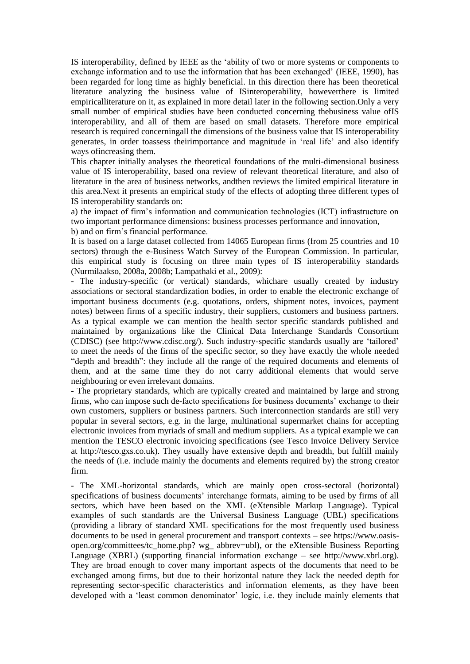IS interoperability, defined by IEEE as the "ability of two or more systems or components to exchange information and to use the information that has been exchanged' (IEEE, 1990), has been regarded for long time as highly beneficial. In this direction there has been theoretical literature analyzing the business value of ISinteroperability, howeverthere is limited empiricalliterature on it, as explained in more detail later in the following section.Only a very small number of empirical studies have been conducted concerning thebusiness value ofIS interoperability, and all of them are based on small datasets. Therefore more empirical research is required concerningall the dimensions of the business value that IS interoperability generates, in order toassess theirimportance and magnitude in "real life" and also identify ways ofincreasing them.

This chapter initially analyses the theoretical foundations of the multi-dimensional business value of IS interoperability, based ona review of relevant theoretical literature, and also of literature in the area of business networks, andthen reviews the limited empirical literature in this area.Next it presents an empirical study of the effects of adopting three different types of IS interoperability standards on:

a) the impact of firm"s information and communication technologies (ICT) infrastructure on two important performance dimensions: business processes performance and innovation, b) and on firm"s financial performance.

It is based on a large dataset collected from 14065 European firms (from 25 countries and 10 sectors) through the e-Business Watch Survey of the European Commission. In particular, this empirical study is focusing on three main types of IS interoperability standards (Nurmilaakso, 2008a, 2008b; Lampathaki et al., 2009):

- The industry-specific (or vertical) standards, whichare usually created by industry associations or sectoral standardization bodies, in order to enable the electronic exchange of important business documents (e.g. quotations, orders, shipment notes, invoices, payment notes) between firms of a specific industry, their suppliers, customers and business partners. As a typical example we can mention the health sector specific standards published and maintained by organizations like the Clinical Data Interchange Standards Consortium (CDISC) (see http://www.cdisc.org/). Such industry-specific standards usually are "tailored" to meet the needs of the firms of the specific sector, so they have exactly the whole needed "depth and breadth": they include all the range of the required documents and elements of them, and at the same time they do not carry additional elements that would serve neighbouring or even irrelevant domains.

- The proprietary standards, which are typically created and maintained by large and strong firms, who can impose such de-facto specifications for business documents" exchange to their own customers, suppliers or business partners. Such interconnection standards are still very popular in several sectors, e.g. in the large, multinational supermarket chains for accepting electronic invoices from myriads of small and medium suppliers. As a typical example we can mention the TESCO electronic invoicing specifications (see Tesco Invoice Delivery Service at http://tesco.gxs.co.uk). They usually have extensive depth and breadth, but fulfill mainly the needs of (i.e. include mainly the documents and elements required by) the strong creator firm.

- The XML-horizontal standards, which are mainly open cross-sectoral (horizontal) specifications of business documents' interchange formats, aiming to be used by firms of all sectors, which have been based on the XML (eXtensible Markup Language). Typical examples of such standards are the Universal Business Language (UBL) specifications (providing a library of standard XML specifications for the most frequently used business documents to be used in general procurement and transport contexts – see https://www.oasisopen.org/committees/tc\_home.php? wg\_ abbrev=ubl), or the eXtensible Business Reporting Language (XBRL) (supporting financial information exchange – see http://www.xbrl.org). They are broad enough to cover many important aspects of the documents that need to be exchanged among firms, but due to their horizontal nature they lack the needed depth for representing sector-specific characteristics and information elements, as they have been developed with a "least common denominator" logic, i.e. they include mainly elements that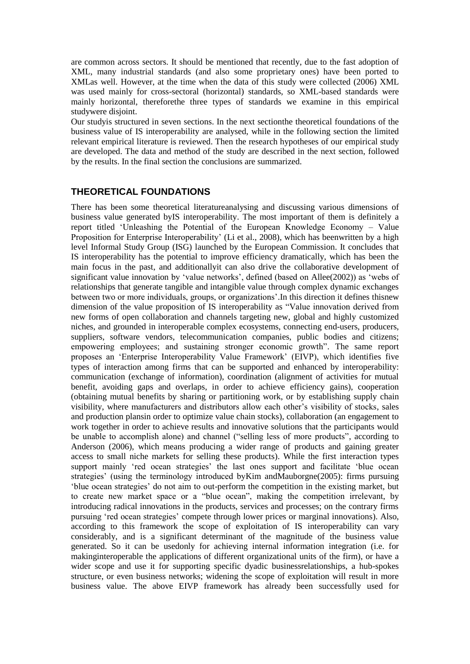are common across sectors. It should be mentioned that recently, due to the fast adoption of XML, many industrial standards (and also some proprietary ones) have been ported to XMLas well. However, at the time when the data of this study were collected (2006) XML was used mainly for cross-sectoral (horizontal) standards, so XML-based standards were mainly horizontal, thereforethe three types of standards we examine in this empirical studywere disjoint.

Our studyis structured in seven sections. In the next sectionthe theoretical foundations of the business value of IS interoperability are analysed, while in the following section the limited relevant empirical literature is reviewed. Then the research hypotheses of our empirical study are developed. The data and method of the study are described in the next section, followed by the results. In the final section the conclusions are summarized.

## **THEORETICAL FOUNDATIONS**

There has been some theoretical literatureanalysing and discussing various dimensions of business value generated byIS interoperability. The most important of them is definitely a report titled "Unleashing the Potential of the European Knowledge Economy – Value Proposition for Enterprise Interoperability' (Li et al., 2008), which has beenwritten by a high level Informal Study Group (ISG) launched by the European Commission. It concludes that IS interoperability has the potential to improve efficiency dramatically, which has been the main focus in the past, and additionallyit can also drive the collaborative development of significant value innovation by 'value networks', defined (based on Allee(2002)) as 'webs of relationships that generate tangible and intangible value through complex dynamic exchanges between two or more individuals, groups, or organizations".In this direction it defines thisnew dimension of the value proposition of IS interoperability as "Value innovation derived from new forms of open collaboration and channels targeting new, global and highly customized niches, and grounded in interoperable complex ecosystems, connecting end-users, producers, suppliers, software vendors, telecommunication companies, public bodies and citizens; empowering employees; and sustaining stronger economic growth". The same report proposes an "Enterprise Interoperability Value Framework" (EIVP), which identifies five types of interaction among firms that can be supported and enhanced by interoperability: communication (exchange of information), coordination (alignment of activities for mutual benefit, avoiding gaps and overlaps, in order to achieve efficiency gains), cooperation (obtaining mutual benefits by sharing or partitioning work, or by establishing supply chain visibility, where manufacturers and distributors allow each other"s visibility of stocks, sales and production plansin order to optimize value chain stocks), collaboration (an engagement to work together in order to achieve results and innovative solutions that the participants would be unable to accomplish alone) and channel ("selling less of more products", according to Anderson (2006), which means producing a wider range of products and gaining greater access to small niche markets for selling these products). While the first interaction types support mainly 'red ocean strategies' the last ones support and facilitate 'blue ocean strategies' (using the terminology introduced by Kim and Mauborgne (2005): firms pursuing "blue ocean strategies" do not aim to out-perform the competition in the existing market, but to create new market space or a "blue ocean", making the competition irrelevant, by introducing radical innovations in the products, services and processes; on the contrary firms pursuing "red ocean strategies" compete through lower prices or marginal innovations). Also, according to this framework the scope of exploitation of IS interoperability can vary considerably, and is a significant determinant of the magnitude of the business value generated. So it can be usedonly for achieving internal information integration (i.e. for makinginteroperable the applications of different organizational units of the firm), or have a wider scope and use it for supporting specific dyadic businessrelationships, a hub-spokes structure, or even business networks; widening the scope of exploitation will result in more business value. The above EIVP framework has already been successfully used for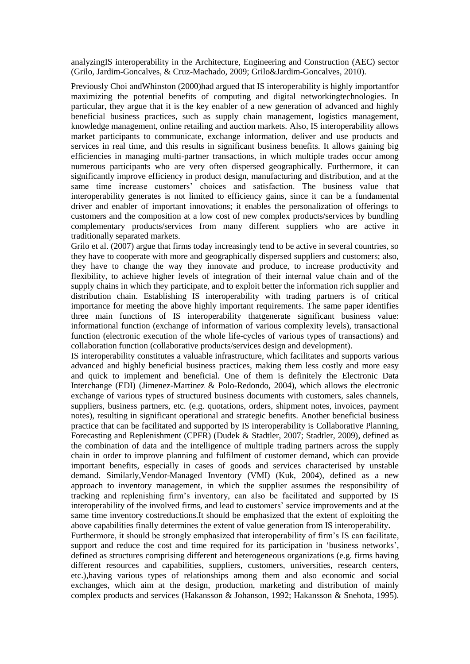analyzingIS interoperability in the Architecture, Engineering and Construction (AEC) sector (Grilo, Jardim-Goncalves, & Cruz-Machado, 2009; Grilo&Jardim-Goncalves, 2010).

Previously Choi andWhinston (2000)had argued that IS interoperability is highly importantfor maximizing the potential benefits of computing and digital networkingtechnologies. In particular, they argue that it is the key enabler of a new generation of advanced and highly beneficial business practices, such as supply chain management, logistics management, knowledge management, online retailing and auction markets. Also, IS interoperability allows market participants to communicate, exchange information, deliver and use products and services in real time, and this results in significant business benefits. It allows gaining big efficiencies in managing multi-partner transactions, in which multiple trades occur among numerous participants who are very often dispersed geographically. Furthermore, it can significantly improve efficiency in product design, manufacturing and distribution, and at the same time increase customers" choices and satisfaction. The business value that interoperability generates is not limited to efficiency gains, since it can be a fundamental driver and enabler of important innovations; it enables the personalization of offerings to customers and the composition at a low cost of new complex products/services by bundling complementary products/services from many different suppliers who are active in traditionally separated markets.

Grilo et al. (2007) argue that firms today increasingly tend to be active in several countries, so they have to cooperate with more and geographically dispersed suppliers and customers; also, they have to change the way they innovate and produce, to increase productivity and flexibility, to achieve higher levels of integration of their internal value chain and of the supply chains in which they participate, and to exploit better the information rich supplier and distribution chain. Establishing IS interoperability with trading partners is of critical importance for meeting the above highly important requirements. The same paper identifies three main functions of IS interoperability thatgenerate significant business value: informational function (exchange of information of various complexity levels), transactional function (electronic execution of the whole life-cycles of various types of transactions) and collaboration function (collaborative products/services design and development).

IS interoperability constitutes a valuable infrastructure, which facilitates and supports various advanced and highly beneficial business practices, making them less costly and more easy and quick to implement and beneficial. One of them is definitely the Electronic Data Interchange (EDI) (Jimenez-Martinez & Polo-Redondo, 2004), which allows the electronic exchange of various types of structured business documents with customers, sales channels, suppliers, business partners, etc. (e.g. quotations, orders, shipment notes, invoices, payment notes), resulting in significant operational and strategic benefits. Another beneficial business practice that can be facilitated and supported by IS interoperability is Collaborative Planning, Forecasting and Replenishment (CPFR) (Dudek & Stadtler, 2007; Stadtler, 2009), defined as the combination of data and the intelligence of multiple trading partners across the supply chain in order to improve planning and fulfilment of customer demand, which can provide important benefits, especially in cases of goods and services characterised by unstable demand. Similarly,Vendor-Managed Inventory (VMI) (Kuk, 2004), defined as a new approach to inventory management, in which the supplier assumes the responsibility of tracking and replenishing firm"s inventory, can also be facilitated and supported by IS interoperability of the involved firms, and lead to customers' service improvements and at the same time inventory costreductions.It should be emphasized that the extent of exploiting the above capabilities finally determines the extent of value generation from IS interoperability. Furthermore, it should be strongly emphasized that interoperability of firm"s IS can facilitate, support and reduce the cost and time required for its participation in "business networks", defined as structures comprising different and heterogeneous organizations (e.g. firms having different resources and capabilities, suppliers, customers, universities, research centers, etc.),having various types of relationships among them and also economic and social

exchanges, which aim at the design, production, marketing and distribution of mainly complex products and services (Hakansson & Johanson, 1992; Hakansson & Snehota, 1995).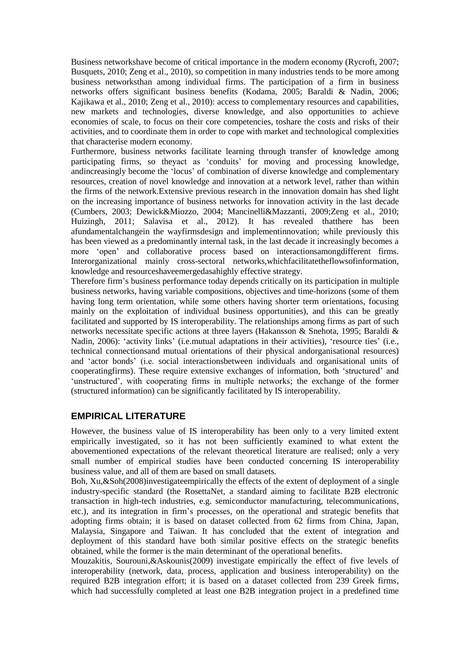Business networkshave become of critical importance in the modern economy (Rycroft, 2007; Busquets, 2010; Zeng et al., 2010), so competition in many industries tends to be more among business networksthan among individual firms. The participation of a firm in business networks offers significant business benefits (Kodama, 2005; Baraldi & Nadin, 2006; Kajikawa et al., 2010; Zeng et al., 2010): access to complementary resources and capabilities, new markets and technologies, diverse knowledge, and also opportunities to achieve economies of scale, to focus on their core competencies, toshare the costs and risks of their activities, and to coordinate them in order to cope with market and technological complexities that characterise modern economy.

Furthermore, business networks facilitate learning through transfer of knowledge among participating firms, so theyact as "conduits" for moving and processing knowledge, andincreasingly become the "locus" of combination of diverse knowledge and complementary resources, creation of novel knowledge and innovation at a network level, rather than within the firms of the network.Extensive previous research in the innovation domain has shed light on the increasing importance of business networks for innovation activity in the last decade (Cumbers, 2003; Dewick&Miozzo, 2004; Mancinelli&Mazzanti, 2009;Zeng et al., 2010; Huizingh, 2011; Salavisa et al., 2012). It has revealed thatthere has been afundamentalchangein the wayfirmsdesign and implementinnovation; while previously this has been viewed as a predominantly internal task, in the last decade it increasingly becomes a more "open" and collaborative process based on interactionsamongdifferent firms. Interorganizational mainly cross-sectoral networks,whichfacilitatetheflowsofinformation, knowledge and resourceshaveemergedasahighly effective strategy.

Therefore firm"s business performance today depends critically on its participation in multiple business networks, having variable compositions, objectives and time-horizons (some of them having long term orientation, while some others having shorter term orientations, focusing mainly on the exploitation of individual business opportunities), and this can be greatly facilitated and supported by IS interoperability. The relationships among firms as part of such networks necessitate specific actions at three layers (Hakansson & Snehota, 1995; Baraldi & Nadin, 2006): 'activity links' (i.e.mutual adaptations in their activities), 'resource ties' (i.e., technical connectionsand mutual orientations of their physical andorganisational resources) and "actor bonds" (i.e. social interactionsbetween individuals and organisational units of cooperatingfirms). These require extensive exchanges of information, both "structured" and 'unstructured', with cooperating firms in multiple networks; the exchange of the former (structured information) can be significantly facilitated by IS interoperability.

# **EMPIRICAL LITERATURE**

However, the business value of IS interoperability has been only to a very limited extent empirically investigated, so it has not been sufficiently examined to what extent the abovementioned expectations of the relevant theoretical literature are realised; only a very small number of empirical studies have been conducted concerning IS interoperability business value, and all of them are based on small datasets.

Boh, Xu,&Soh(2008)investigateempirically the effects of the extent of deployment of a single industry-specific standard (the RosettaNet, a standard aiming to facilitate B2B electronic transaction in high-tech industries, e.g. semiconductor manufacturing, telecommunications, etc.), and its integration in firm"s processes, on the operational and strategic benefits that adopting firms obtain; it is based on dataset collected from 62 firms from China, Japan, Malaysia, Singapore and Taiwan. It has concluded that the extent of integration and deployment of this standard have both similar positive effects on the strategic benefits obtained, while the former is the main determinant of the operational benefits.

Mouzakitis, Sourouni,&Askounis(2009) investigate empirically the effect of five levels of interoperability (network, data, process, application and business interoperability) on the required B2B integration effort; it is based on a dataset collected from 239 Greek firms, which had successfully completed at least one B2B integration project in a predefined time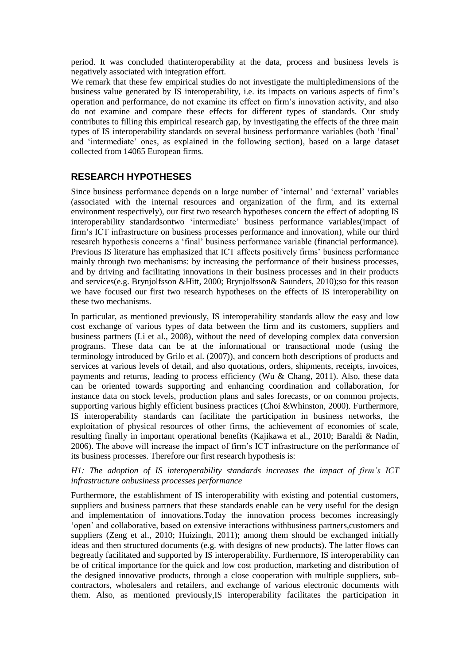period. It was concluded thatinteroperability at the data, process and business levels is negatively associated with integration effort.

We remark that these few empirical studies do not investigate the multipledimensions of the business value generated by IS interoperability, i.e. its impacts on various aspects of firm"s operation and performance, do not examine its effect on firm"s innovation activity, and also do not examine and compare these effects for different types of standards. Our study contributes to filling this empirical research gap, by investigating the effects of the three main types of IS interoperability standards on several business performance variables (both "final" and "intermediate" ones, as explained in the following section), based on a large dataset collected from 14065 European firms.

# **RESEARCH HYPOTHESES**

Since business performance depends on a large number of "internal" and "external" variables (associated with the internal resources and organization of the firm, and its external environment respectively), our first two research hypotheses concern the effect of adopting IS interoperability standardsontwo "intermediate" business performance variables(impact of firm"s ICT infrastructure on business processes performance and innovation), while our third research hypothesis concerns a "final" business performance variable (financial performance). Previous IS literature has emphasized that ICT affects positively firms" business performance mainly through two mechanisms: by increasing the performance of their business processes, and by driving and facilitating innovations in their business processes and in their products and services(e.g. Brynjolfsson &Hitt, 2000; Brynjolfsson& Saunders, 2010);so for this reason we have focused our first two research hypotheses on the effects of IS interoperability on these two mechanisms.

In particular, as mentioned previously, IS interoperability standards allow the easy and low cost exchange of various types of data between the firm and its customers, suppliers and business partners (Li et al., 2008), without the need of developing complex data conversion programs. These data can be at the informational or transactional mode (using the terminology introduced by Grilo et al. (2007)), and concern both descriptions of products and services at various levels of detail, and also quotations, orders, shipments, receipts, invoices, payments and returns, leading to process efficiency (Wu & Chang, 2011). Also, these data can be oriented towards supporting and enhancing coordination and collaboration, for instance data on stock levels, production plans and sales forecasts, or on common projects, supporting various highly efficient business practices (Choi &Whinston, 2000). Furthermore, IS interoperability standards can facilitate the participation in business networks, the exploitation of physical resources of other firms, the achievement of economies of scale, resulting finally in important operational benefits (Kajikawa et al., 2010; Baraldi & Nadin, 2006). The above will increase the impact of firm"s ICT infrastructure on the performance of its business processes. Therefore our first research hypothesis is:

#### *H1: The adoption of IS interoperability standards increases the impact of firm's ICT infrastructure onbusiness processes performance*

Furthermore, the establishment of IS interoperability with existing and potential customers, suppliers and business partners that these standards enable can be very useful for the design and implementation of innovations.Today the innovation process becomes increasingly "open" and collaborative, based on extensive interactions withbusiness partners,customers and suppliers (Zeng et al., 2010; Huizingh, 2011); among them should be exchanged initially ideas and then structured documents (e.g. with designs of new products). The latter flows can begreatly facilitated and supported by IS interoperability. Furthermore, IS interoperability can be of critical importance for the quick and low cost production, marketing and distribution of the designed innovative products, through a close cooperation with multiple suppliers, subcontractors, wholesalers and retailers, and exchange of various electronic documents with them. Also, as mentioned previously,IS interoperability facilitates the participation in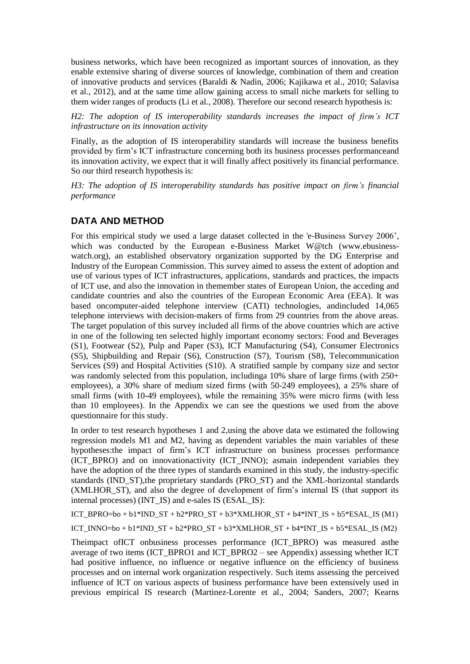business networks, which have been recognized as important sources of innovation, as they enable extensive sharing of diverse sources of knowledge, combination of them and creation of innovative products and services (Baraldi & Nadin, 2006; Kajikawa et al., 2010; Salavisa et al., 2012), and at the same time allow gaining access to small niche markets for selling to them wider ranges of products (Li et al., 2008). Therefore our second research hypothesis is:

*H2: The adoption of IS interoperability standards increases the impact of firm's ICT infrastructure on its innovation activity*

Finally, as the adoption of IS interoperability standards will increase the business benefits provided by firm"s ICT infrastructure concerning both its business processes performanceand its innovation activity, we expect that it will finally affect positively its financial performance. So our third research hypothesis is:

*H3: The adoption of IS interoperability standards has positive impact on firm's financial performance*

## **DATA AND METHOD**

For this empirical study we used a large dataset collected in the 'e-Business Survey 2006", which was conducted by the European e-Business Market W@tch [\(www.ebusiness](http://www.ebusiness-watch.org/)[watch.org\)](http://www.ebusiness-watch.org/), an established observatory organization supported by the DG Enterprise and Industry of the European Commission. This survey aimed to assess the extent of adoption and use of various types of ICT infrastructures, applications, standards and practices, the impacts of ICT use, and also the innovation in themember states of European Union, the acceding and candidate countries and also the countries of the European Economic Area (EEA). It was based oncomputer-aided telephone interview (CATI) technologies, andincluded 14,065 telephone interviews with decision-makers of firms from 29 countries from the above areas. The target population of this survey included all firms of the above countries which are active in one of the following ten selected highly important economy sectors: Food and Beverages (S1), Footwear (S2), Pulp and Paper (S3), ICT Manufacturing (S4), Consumer Electronics (S5), Shipbuilding and Repair (S6), Construction (S7), Tourism (S8), Telecommunication Services (S9) and Hospital Activities (S10). A stratified sample by company size and sector was randomly selected from this population, including a10% share of large firms (with 250+ employees), a 30% share of medium sized firms (with 50-249 employees), a 25% share of small firms (with 10-49 employees), while the remaining 35% were micro firms (with less than 10 employees). In the Appendix we can see the questions we used from the above questionnaire for this study.

In order to test research hypotheses 1 and 2,using the above data we estimated the following regression models M1 and M2, having as dependent variables the main variables of these hypotheses:the impact of firm"s ICT infrastructure on business processes performance (ICT\_BPRO) and on innovationactivity (ICT\_INNO); asmain independent variables they have the adoption of the three types of standards examined in this study, the industry-specific standards (IND\_ST),the proprietary standards (PRO\_ST) and the XML-horizontal standards (XMLHOR ST), and also the degree of development of firm's internal IS (that support its internal processes) (INT\_IS) and e-sales IS (ESAL\_IS):

ICT\_BPRO=bo + b1\*IND\_ST + b2\*PRO\_ST + b3\*XMLHOR\_ST + b4\*INT\_IS + b5\*ESAL\_IS (M1)

ICT\_INNO=bo + b1\*IND\_ST + b2\*PRO\_ST + b3\*XMLHOR\_ST + b4\*INT\_IS + b5\*ESAL\_IS (M2)

Theimpact ofICT onbusiness processes performance (ICT\_BPRO) was measured asthe average of two items (ICT\_BPRO1 and ICT\_BPRO2 – see Appendix) assessing whether ICT had positive influence, no influence or negative influence on the efficiency of business processes and on internal work organization respectively. Such items assessing the perceived influence of ICT on various aspects of business performance have been extensively used in previous empirical IS research (Martinez-Lorente et al., 2004; Sanders, 2007; Kearns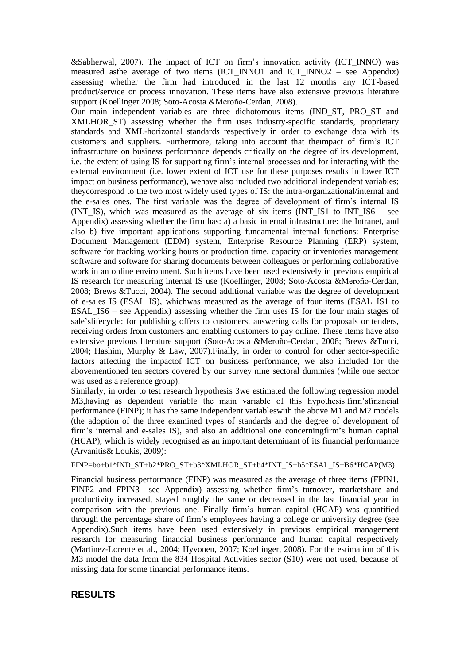&Sabherwal, 2007). The impact of ICT on firm"s innovation activity (ICT\_INNO) was measured asthe average of two items (ICT\_INNO1 and ICT\_INNO2 – see Appendix) assessing whether the firm had introduced in the last 12 months any ICT-based product/service or process innovation. These items have also extensive previous literature support (Koellinger 2008; Soto-Acosta &Meroño-Cerdan, 2008).

Our main independent variables are three dichotomous items (IND\_ST, PRO\_ST and XMLHOR\_ST) assessing whether the firm uses industry-specific standards, proprietary standards and XML-horizontal standards respectively in order to exchange data with its customers and suppliers. Furthermore, taking into account that theimpact of firm"s ICT infrastructure on business performance depends critically on the degree of its development, i.e. the extent of using IS for supporting firm"s internal processes and for interacting with the external environment (i.e. lower extent of ICT use for these purposes results in lower ICT impact on business performance), wehave also included two additional independent variables; theycorrespond to the two most widely used types of IS: the intra-organizational/internal and the e-sales ones. The first variable was the degree of development of firm"s internal IS (INT\_IS), which was measured as the average of six items (INT\_IS1 to INT\_IS6 – see Appendix) assessing whether the firm has: a) a basic internal infrastructure: the Intranet, and also b) five important applications supporting fundamental internal functions: Enterprise Document Management (EDM) system, Enterprise Resource Planning (ERP) system, software for tracking working hours or production time, capacity or inventories management software and software for sharing documents between colleagues or performing collaborative work in an online environment. Such items have been used extensively in previous empirical IS research for measuring internal IS use (Koellinger, 2008; Soto-Acosta &Meroño-Cerdan, 2008; Brews &Tucci, 2004). The second additional variable was the degree of development of e-sales IS (ESAL\_IS), whichwas measured as the average of four items (ESAL\_IS1 to ESAL\_IS6 – see Appendix) assessing whether the firm uses IS for the four main stages of sale"slifecycle: for publishing offers to customers, answering calls for proposals or tenders, receiving orders from customers and enabling customers to pay online. These items have also extensive previous literature support (Soto-Acosta &Meroño-Cerdan, 2008; Brews &Tucci, 2004; Hashim, Murphy & Law, 2007).Finally, in order to control for other sector-specific factors affecting the impactof ICT on business performance, we also included for the abovementioned ten sectors covered by our survey nine sectoral dummies (while one sector was used as a reference group).

Similarly, in order to test research hypothesis 3we estimated the following regression model M3, having as dependent variable the main variable of this hypothesis: firm's financial performance (FINP); it has the same independent variableswith the above M1 and M2 models (the adoption of the three examined types of standards and the degree of development of firm"s internal and e-sales IS), and also an additional one concerningfirm"s human capital (HCAP), which is widely recognised as an important determinant of its financial performance (Arvanitis& Loukis, 2009):

#### FINP=bo+b1\*IND\_ST+b2\*PRO\_ST+b3\*XMLHOR\_ST+b4\*INT\_IS+b5\*ESAL\_IS+B6\*HCAP(M3)

Financial business performance (FINP) was measured as the average of three items (FPIN1, FINP2 and FPIN3– see Appendix) assessing whether firm's turnover, marketshare and productivity increased, stayed roughly the same or decreased in the last financial year in comparison with the previous one. Finally firm"s human capital (HCAP) was quantified through the percentage share of firm"s employees having a college or university degree (see Appendix).Such items have been used extensively in previous empirical management research for measuring financial business performance and human capital respectively (Martinez-Lorente et al., 2004; Hyvonen, 2007; Koellinger, 2008). For the estimation of this M3 model the data from the 834 Hospital Activities sector (S10) were not used, because of missing data for some financial performance items.

#### **RESULTS**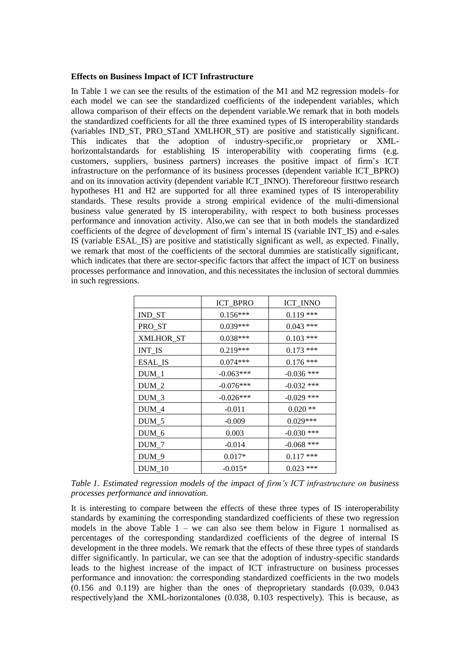#### **Effects on Business Impact of ICT Infrastructure**

In Table 1 we can see the results of the estimation of the M1 and M2 regression models–for each model we can see the standardized coefficients of the independent variables, which allowa comparison of their effects on the dependent variable.We remark that in both models the standardized coefficients for all the three examined types of IS interoperability standards (variables IND\_ST, PRO\_STand XMLHOR\_ST) are positive and statistically significant. This indicates that the adoption of industry-specific,or proprietary or XMLhorizontalstandards for establishing IS interoperability with cooperating firms (e.g. customers, suppliers, business partners) increases the positive impact of firm"s ICT infrastructure on the performance of its business processes (dependent variable ICT\_BPRO) and on its innovation activity (dependent variable ICT\_INNO). Thereforeour firsttwo research hypotheses H1 and H2 are supported for all three examined types of IS interoperability standards. These results provide a strong empirical evidence of the multi-dimensional business value generated by IS interoperability, with respect to both business processes performance and innovation activity. Also,we can see that in both models the standardized coefficients of the degree of development of firm's internal IS (variable INT\_IS) and e-sales IS (variable ESAL\_IS) are positive and statistically significant as well, as expected. Finally, we remark that most of the coefficients of the sectoral dummies are statistically significant, which indicates that there are sector-specific factors that affect the impact of ICT on business processes performance and innovation, and this necessitates the inclusion of sectoral dummies in such regressions.

|                                      | <b>ICT_BPRO</b> | ICT_INNO     |
|--------------------------------------|-----------------|--------------|
| IND_ST                               | $0.156***$      | $0.119$ ***  |
| PRO_ST                               | 0.039***        | $0.043$ ***  |
| XMLHOR_ST                            | $0.038***$      | $0.103$ ***  |
| $\ensuremath{\text{INT\_IS}}\xspace$ | $0.219***$      | $0.173$ ***  |
| <b>ESAL_IS</b>                       | $0.074***$      | $0.176$ ***  |
| $DUM_1$                              | $-0.063***$     | $-0.036$ *** |
| $DUM_2$                              | $-0.076***$     | $-0.032$ *** |
| $DUM_3$                              | $-0.026***$     | $-0.029$ *** |
| $DUM_4$                              | $-0.011$        | $0.020**$    |
| $DUM_5$                              | $-0.009$        | $0.029***$   |
| $DUM_6$                              | 0.003           | $-0.030$ *** |
| $DUM_7$                              | $-0.014$        | $-0.068$ *** |
| $DUM_9$                              | $0.017*$        | $0.117$ ***  |
| <b>DUM 10</b>                        | $-0.015*$       | $0.023$ ***  |

*Table 1. Estimated regression models of the impact of firm's ICT infrastructure on business processes performance and innovation.*

It is interesting to compare between the effects of these three types of IS interoperability standards by examining the corresponding standardized coefficients of these two regression models in the above Table  $1 -$  we can also see them below in Figure 1 normalised as percentages of the corresponding standardized coefficients of the degree of internal IS development in the three models. We remark that the effects of these three types of standards differ significantly. In particular, we can see that the adoption of industry-specific standards leads to the highest increase of the impact of ICT infrastructure on business processes performance and innovation: the corresponding standardized coefficients in the two models (0.156 and 0.119) are higher than the ones of theproprietary standards (0.039, 0.043 respectively)and the XML-horizontalones (0.038, 0.103 respectively). This is because, as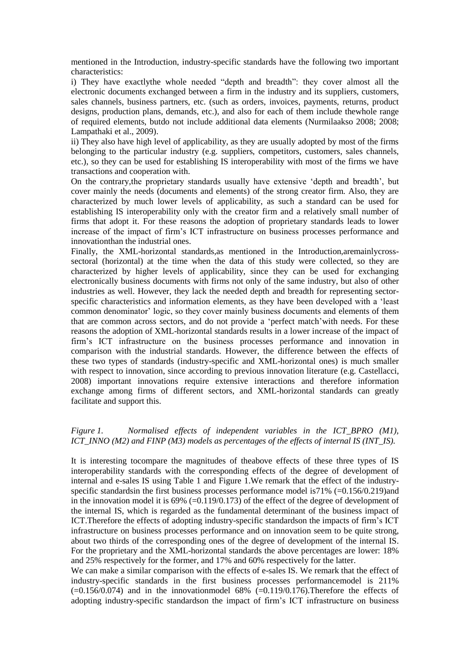mentioned in the Introduction, industry-specific standards have the following two important characteristics:

i) They have exactlythe whole needed "depth and breadth": they cover almost all the electronic documents exchanged between a firm in the industry and its suppliers, customers, sales channels, business partners, etc. (such as orders, invoices, payments, returns, product designs, production plans, demands, etc.), and also for each of them include thewhole range of required elements, butdo not include additional data elements (Nurmilaakso 2008; 2008; Lampathaki et al., 2009).

ii) They also have high level of applicability, as they are usually adopted by most of the firms belonging to the particular industry (e.g. suppliers, competitors, customers, sales channels, etc.), so they can be used for establishing IS interoperability with most of the firms we have transactions and cooperation with.

On the contrary,the proprietary standards usually have extensive "depth and breadth", but cover mainly the needs (documents and elements) of the strong creator firm. Also, they are characterized by much lower levels of applicability, as such a standard can be used for establishing IS interoperability only with the creator firm and a relatively small number of firms that adopt it. For these reasons the adoption of proprietary standards leads to lower increase of the impact of firm"s ICT infrastructure on business processes performance and innovationthan the industrial ones.

Finally, the XML-horizontal standards,as mentioned in the Introduction,aremainlycrosssectoral (horizontal) at the time when the data of this study were collected, so they are characterized by higher levels of applicability, since they can be used for exchanging electronically business documents with firms not only of the same industry, but also of other industries as well. However, they lack the needed depth and breadth for representing sectorspecific characteristics and information elements, as they have been developed with a "least common denominator" logic, so they cover mainly business documents and elements of them that are common across sectors, and do not provide a "perfect match"with needs. For these reasons the adoption of XML-horizontal standards results in a lower increase of the impact of firm"s ICT infrastructure on the business processes performance and innovation in comparison with the industrial standards. However, the difference between the effects of these two types of standards (industry-specific and XML-horizontal ones) is much smaller with respect to innovation, since according to previous innovation literature (e.g. Castellacci, 2008) important innovations require extensive interactions and therefore information exchange among firms of different sectors, and XML-horizontal standards can greatly facilitate and support this.

#### *Figure 1. Normalised effects of independent variables in the ICT\_BPRO (M1), ICT\_INNO (M2) and FINP (M3) models as percentages of the effects of internal IS (INT\_IS).*

It is interesting tocompare the magnitudes of theabove effects of these three types of IS interoperability standards with the corresponding effects of the degree of development of internal and e-sales IS using Table 1 and Figure 1.We remark that the effect of the industryspecific standardsin the first business processes performance model is  $71\%$  (=0.156/0.219)and in the innovation model it is 69% (=0.119/0.173) of the effect of the degree of development of the internal IS, which is regarded as the fundamental determinant of the business impact of ICT.Therefore the effects of adopting industry-specific standardson the impacts of firm"s ICT infrastructure on business processes performance and on innovation seem to be quite strong, about two thirds of the corresponding ones of the degree of development of the internal IS. For the proprietary and the XML-horizontal standards the above percentages are lower: 18% and 25% respectively for the former, and 17% and 60% respectively for the latter.

We can make a similar comparison with the effects of e-sales IS. We remark that the effect of industry-specific standards in the first business processes performancemodel is 211%  $(=0.156/0.074)$  and in the innovationmodel 68%  $(-0.119/0.176)$ . Therefore the effects of adopting industry-specific standardson the impact of firm"s ICT infrastructure on business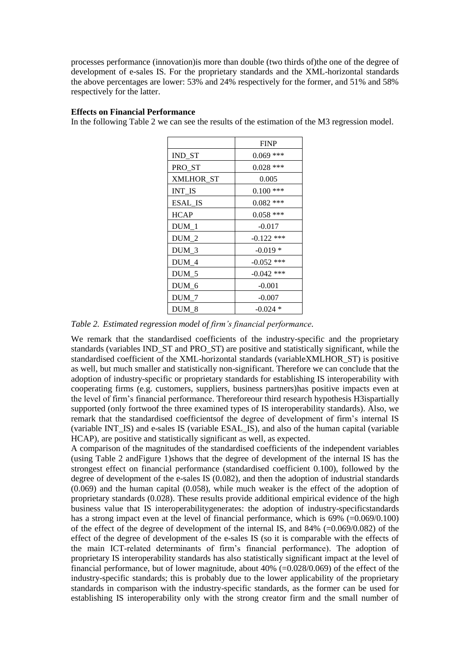processes performance (innovation)is more than double (two thirds of)the one of the degree of development of e-sales IS. For the proprietary standards and the XML-horizontal standards the above percentages are lower: 53% and 24% respectively for the former, and 51% and 58% respectively for the latter.

#### **Effects on Financial Performance**

In the following Table 2 we can see the results of the estimation of the M3 regression model.

|                  | <b>FINP</b>  |
|------------------|--------------|
| IND_ST           | $0.069$ ***  |
| PRO ST           | $0.028$ ***  |
| <b>XMLHOR ST</b> | 0.005        |
| <b>INT_IS</b>    | $0.100$ ***  |
| ESAL IS          | $0.082$ ***  |
| <b>HCAP</b>      | $0.058$ ***  |
| DUM 1            | $-0.017$     |
| $DUM_2$          | $-0.122$ *** |
| DUM 3            | $-0.019*$    |
| DUM 4            | $-0.052$ *** |
| $DUM_5$          | $-0.042$ *** |
| DUM_6            | $-0.001$     |
| DUM 7            | $-0.007$     |
| DUM 8            | $-0.024*$    |

*Table 2. Estimated regression model of firm's financial performance.*

We remark that the standardised coefficients of the industry-specific and the proprietary standards (variables IND\_ST and PRO\_ST) are positive and statistically significant, while the standardised coefficient of the XML-horizontal standards (variableXMLHOR\_ST) is positive as well, but much smaller and statistically non-significant. Therefore we can conclude that the adoption of industry-specific or proprietary standards for establishing IS interoperability with cooperating firms (e.g. customers, suppliers, business partners)has positive impacts even at the level of firm"s financial performance. Thereforeour third research hypothesis H3ispartially supported (only fortwoof the three examined types of IS interoperability standards). Also, we remark that the standardised coefficientsof the degree of development of firm"s internal IS (variable INT\_IS) and e-sales IS (variable ESAL\_IS), and also of the human capital (variable HCAP), are positive and statistically significant as well, as expected.

A comparison of the magnitudes of the standardised coefficients of the independent variables (using Table 2 andFigure 1)shows that the degree of development of the internal IS has the strongest effect on financial performance (standardised coefficient 0.100), followed by the degree of development of the e-sales IS (0.082), and then the adoption of industrial standards (0.069) and the human capital (0.058), while much weaker is the effect of the adoption of proprietary standards (0.028). These results provide additional empirical evidence of the high business value that IS interoperabilitygenerates: the adoption of industry-specificstandards has a strong impact even at the level of financial performance, which is 69% (=0.069/0.100) of the effect of the degree of development of the internal IS, and  $84\%$  (=0.069/0.082) of the effect of the degree of development of the e-sales IS (so it is comparable with the effects of the main ICT-related determinants of firm"s financial performance). The adoption of proprietary IS interoperability standards has also statistically significant impact at the level of financial performance, but of lower magnitude, about  $40\%$  (=0.028/0.069) of the effect of the industry-specific standards; this is probably due to the lower applicability of the proprietary standards in comparison with the industry-specific standards, as the former can be used for establishing IS interoperability only with the strong creator firm and the small number of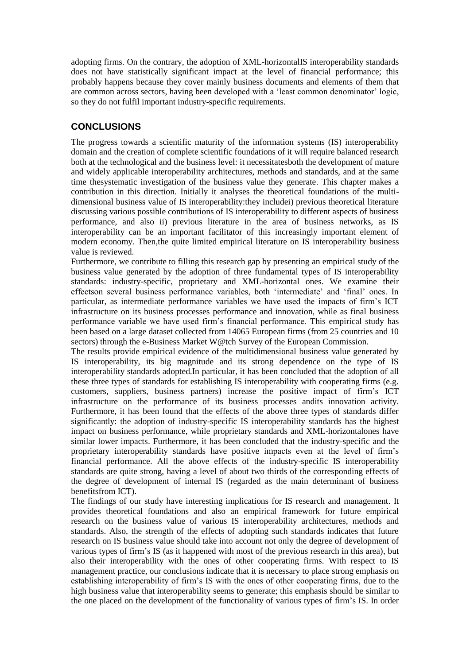adopting firms. On the contrary, the adoption of XML-horizontalIS interoperability standards does not have statistically significant impact at the level of financial performance; this probably happens because they cover mainly business documents and elements of them that are common across sectors, having been developed with a "least common denominator" logic, so they do not fulfil important industry-specific requirements.

# **CONCLUSIONS**

The progress towards a scientific maturity of the information systems (IS) interoperability domain and the creation of complete scientific foundations of it will require balanced research both at the technological and the business level: it necessitatesboth the development of mature and widely applicable interoperability architectures, methods and standards, and at the same time thesystematic investigation of the business value they generate. This chapter makes a contribution in this direction. Initially it analyses the theoretical foundations of the multidimensional business value of IS interoperability:they includei) previous theoretical literature discussing various possible contributions of IS interoperability to different aspects of business performance, and also ii) previous literature in the area of business networks, as IS interoperability can be an important facilitator of this increasingly important element of modern economy. Then,the quite limited empirical literature on IS interoperability business value is reviewed.

Furthermore, we contribute to filling this research gap by presenting an empirical study of the business value generated by the adoption of three fundamental types of IS interoperability standards: industry-specific, proprietary and XML-horizontal ones. We examine their effectson several business performance variables, both "intermediate" and "final" ones. In particular, as intermediate performance variables we have used the impacts of firm"s ICT infrastructure on its business processes performance and innovation, while as final business performance variable we have used firm"s financial performance. This empirical study has been based on a large dataset collected from 14065 European firms (from 25 countries and 10 sectors) through the e-Business Market W@tch Survey of the European Commission.

The results provide empirical evidence of the multidimensional business value generated by IS interoperability, its big magnitude and its strong dependence on the type of IS interoperability standards adopted.In particular, it has been concluded that the adoption of all these three types of standards for establishing IS interoperability with cooperating firms (e.g. customers, suppliers, business partners) increase the positive impact of firm"s ICT infrastructure on the performance of its business processes andits innovation activity. Furthermore, it has been found that the effects of the above three types of standards differ significantly: the adoption of industry-specific IS interoperability standards has the highest impact on business performance, while proprietary standards and XML-horizontalones have similar lower impacts. Furthermore, it has been concluded that the industry-specific and the proprietary interoperability standards have positive impacts even at the level of firm"s financial performance. All the above effects of the industry-specific IS interoperability standards are quite strong, having a level of about two thirds of the corresponding effects of the degree of development of internal IS (regarded as the main determinant of business benefitsfrom ICT).

The findings of our study have interesting implications for IS research and management. It provides theoretical foundations and also an empirical framework for future empirical research on the business value of various IS interoperability architectures, methods and standards. Also, the strength of the effects of adopting such standards indicates that future research on IS business value should take into account not only the degree of development of various types of firm"s IS (as it happened with most of the previous research in this area), but also their interoperability with the ones of other cooperating firms. With respect to IS management practice, our conclusions indicate that it is necessary to place strong emphasis on establishing interoperability of firm"s IS with the ones of other cooperating firms, due to the high business value that interoperability seems to generate; this emphasis should be similar to the one placed on the development of the functionality of various types of firm"s IS. In order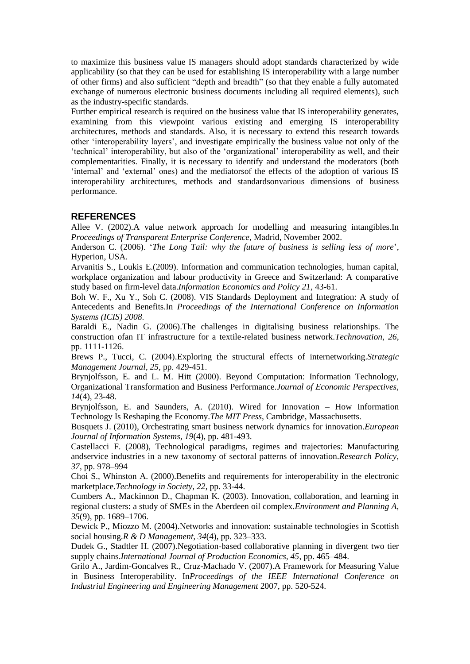to maximize this business value IS managers should adopt standards characterized by wide applicability (so that they can be used for establishing IS interoperability with a large number of other firms) and also sufficient "depth and breadth" (so that they enable a fully automated exchange of numerous electronic business documents including all required elements), such as the industry-specific standards.

Further empirical research is required on the business value that IS interoperability generates, examining from this viewpoint various existing and emerging IS interoperability architectures, methods and standards. Also, it is necessary to extend this research towards other "interoperability layers", and investigate empirically the business value not only of the "technical" interoperability, but also of the "organizational" interoperability as well, and their complementarities. Finally, it is necessary to identify and understand the moderators (both "internal" and "external" ones) and the mediatorsof the effects of the adoption of various IS interoperability architectures, methods and standardsonvarious dimensions of business performance.

## **REFERENCES**

Allee V. (2002).A value network approach for modelling and measuring intangibles.In *Proceedings of Transparent Enterprise Conference*, Madrid, November 2002.

Anderson C. (2006). "*The Long Tail: why the future of business is selling less of more*", Hyperion, USA.

Arvanitis S., Loukis E.(2009). Information and communication technologies, human capital, workplace organization and labour productivity in Greece and Switzerland: A comparative study based on firm-level data.*Information Economics and Policy 21*, 43-61.

Boh W. F., Xu Y., Soh C. (2008). VIS Standards Deployment and Integration: A study of Antecedents and Benefits.In *Proceedings of the International Conference on Information Systems (ICIS) 2008*.

Baraldi E., Nadin G. (2006).The challenges in digitalising business relationships. The construction ofan IT infrastructure for a textile-related business network.*Technovation, 26*, pp. 1111-1126.

Brews P., Tucci, C. (2004).Exploring the structural effects of internetworking.*Strategic Management Journal, 25*, pp. 429-451.

Brynjolfsson, E. and L. M. Hitt (2000). Beyond Computation: Information Technology, Organizational Transformation and Business Performance.*Journal of Economic Perspectives, 14*(4), 23-48.

Brynjolfsson, E. and Saunders, A. (2010). Wired for Innovation – How Information Technology Is Reshaping the Economy.*The MIT Press*, Cambridge, Massachusetts.

Busquets J. (2010), Orchestrating smart business network dynamics for innovation.*European Journal of Information Systems, 19*(4), pp. 481-493.

Castellacci F. (2008), Technological paradigms, regimes and trajectories: Manufacturing andservice industries in a new taxonomy of sectoral patterns of innovation.*Research Policy, 37*, pp. 978–994

Choi S., Whinston A. (2000).Benefits and requirements for interoperability in the electronic marketplace.*Technology in Society, 22*, pp. 33-44.

Cumbers A., Mackinnon D., Chapman K. (2003). Innovation, collaboration, and learning in regional clusters: a study of SMEs in the Aberdeen oil complex.*Environment and Planning A, 35*(9), pp. 1689–1706.

Dewick P., Miozzo M. (2004).Networks and innovation: sustainable technologies in Scottish social housing.*R & D Management, 34*(4), pp. 323–333.

Dudek G., Stadtler H. (2007).Negotiation-based collaborative planning in divergent two tier supply chains.*International Journal of Production Economics, 45*, pp. 465–484.

Grilo A., Jardim-Goncalves R., Cruz-Machado V. (2007).A Framework for Measuring Value in Business Interoperability. In*Proceedings of the IEEE International Conference on Industrial Engineering and Engineering Management* 2007, pp. 520-524.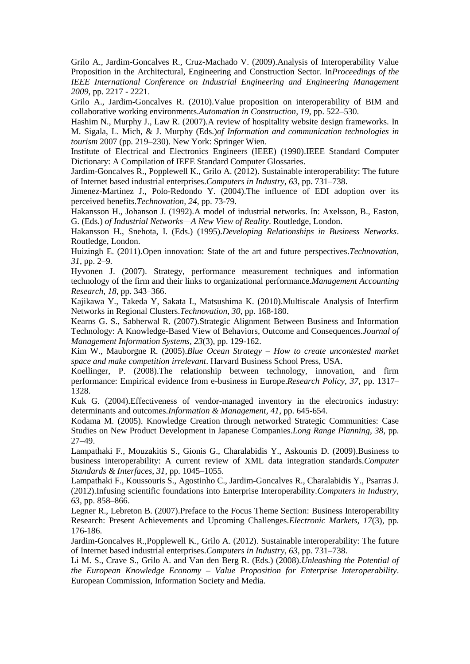Grilo A., Jardim-Goncalves R., Cruz-Machado V. (2009).Analysis of Interoperability Value Proposition in the Architectural, Engineering and Construction Sector. In*Proceedings of the IEEE International Conference on Industrial Engineering and Engineering Management 2009*, pp. 2217 - 2221.

Grilo A., Jardim-Goncalves R. (2010).Value proposition on interoperability of BIM and collaborative working environments.*Automation in Construction, 19*, pp. 522–530.

Hashim N., Murphy J., Law R. (2007).A review of hospitality website design frameworks. In M. Sigala, L. Mich, & J. Murphy (Eds.)*of Information and communication technologies in tourism* 2007 (pp. 219–230). New York: Springer Wien.

Institute of Electrical and Electronics Engineers (IEEE) (1990).IEEE Standard Computer Dictionary: A Compilation of IEEE Standard Computer Glossaries.

Jardim-Goncalves R., Popplewell K., Grilo A. (2012). Sustainable interoperability: The future of Internet based industrial enterprises.*Computers in Industry, 63*, pp. 731–738.

Jimenez-Martinez J., Polo-Redondo Y. (2004).The influence of EDI adoption over its perceived benefits.*Technovation, 24*, pp. 73-79.

Hakansson H., Johanson J. (1992).A model of industrial networks. In: Axelsson, B., Easton, G. (Eds.) *of Industrial Networks—A New View of Reality*. Routledge, London.

Hakansson H., Snehota, I. (Eds.) (1995).*Developing Relationships in Business Networks*. Routledge, London.

Huizingh E. (2011).Open innovation: State of the art and future perspectives.*Technovation, 31*, pp. 2–9.

Hyvonen J. (2007). Strategy, performance measurement techniques and information technology of the firm and their links to organizational performance.*Management Accounting Research, 18*, pp. 343–366.

Kajikawa Y., Takeda Y, Sakata I., Matsushima K. (2010).Multiscale Analysis of Interfirm Networks in Regional Clusters.*Technovation, 30*, pp. 168-180.

Kearns G. S., Sabherwal R. (2007).Strategic Alignment Between Business and Information Technology: A Knowledge-Based View of Behaviors, Outcome and Consequences.*Journal of Management Information Systems, 23*(3), pp. 129-162.

Kim W., Mauborgne R. (2005).*Blue Ocean Strategy – How to create uncontested market space and make competition irrelevant*. Harvard Business School Press, USA.

Koellinger, P. (2008).The relationship between technology, innovation, and firm performance: Empirical evidence from e-business in Europe.*Research Policy, 37*, pp. 1317– 1328.

Kuk G. (2004).Effectiveness of vendor-managed inventory in the electronics industry: determinants and outcomes.*Information & Management, 41*, pp. 645-654.

Kodama M. (2005). Knowledge Creation through networked Strategic Communities: Case Studies on New Product Development in Japanese Companies.*Long Range Planning, 38*, pp. 27–49.

Lampathaki F., Mouzakitis S., Gionis G., Charalabidis Y., Askounis D. (2009).Business to business interoperability: A current review of XML data integration standards.*Computer Standards & Interfaces, 31*, pp. 1045–1055.

Lampathaki F., Koussouris S., Agostinho C., Jardim-Goncalves R., Charalabidis Y., Psarras J. (2012).Infusing scientific foundations into Enterprise Interoperability.*Computers in Industry, 63*, pp. 858–866.

Legner R., Lebreton B. (2007).Preface to the Focus Theme Section: Business Interoperability Research: Present Achievements and Upcoming Challenges.*Electronic Markets, 17*(3), pp. 176-186.

Jardim-Goncalves R.,Popplewell K., Grilo A. (2012). Sustainable interoperability: The future of Internet based industrial enterprises.*Computers in Industry, 63*, pp. 731–738.

Li M. S., Crave S., Grilo A. and Van den Berg R. (Eds.) (2008).*Unleashing the Potential of the European Knowledge Economy – Value Proposition for Enterprise Interoperability*. European Commission, Information Society and Media.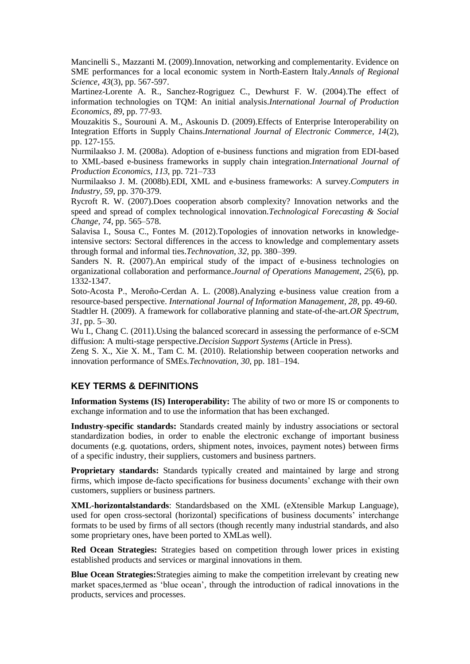Mancinelli S., Mazzanti M. (2009).Innovation, networking and complementarity. Evidence on SME performances for a local economic system in North-Eastern Italy.*Annals of Regional Science, 43*(3), pp. 567-597.

Martinez-Lorente A. R., Sanchez-Rogriguez C., Dewhurst F. W. (2004).The effect of information technologies on TQM: An initial analysis.*International Journal of Production Economics, 89*, pp. 77-93.

Mouzakitis S., Sourouni A. M., Askounis D. (2009).Effects of Enterprise Interoperability on Integration Efforts in Supply Chains.*International Journal of Electronic Commerce, 14*(2), pp. 127-155.

Nurmilaakso J. M. (2008a). Adoption of e-business functions and migration from EDI-based to XML-based e-business frameworks in supply chain integration.*International Journal of Production Economics, 113*, pp. 721–733

Nurmilaakso J. M. (2008b).EDI, XML and e-business frameworks: A survey.*Computers in Industry, 59*, pp. 370-379.

Rycroft R. W. (2007).Does cooperation absorb complexity? Innovation networks and the speed and spread of complex technological innovation.*Technological Forecasting & Social Change, 74*, pp. 565–578.

Salavisa I., Sousa C., Fontes M. (2012).Topologies of innovation networks in knowledgeintensive sectors: Sectoral differences in the access to knowledge and complementary assets through formal and informal ties.*Technovation, 32*, pp. 380–399.

Sanders N. R. (2007).An empirical study of the impact of e-business technologies on organizational collaboration and performance.*Journal of Operations Management, 25*(6), pp. 1332-1347.

Soto-Acosta P., Meroño-Cerdan A. L. (2008).Analyzing e-business value creation from a resource-based perspective. *International Journal of Information Management, 28*, pp. 49-60. Stadtler H. (2009). A framework for collaborative planning and state-of-the-art.*OR Spectrum, 31*, pp. 5–30.

Wu I., Chang C. (2011).Using the balanced scorecard in assessing the performance of e-SCM diffusion: A multi-stage perspective.*Decision Support Systems* (Article in Press).

Zeng S. X., Xie X. M., Tam C. M. (2010). Relationship between cooperation networks and innovation performance of SMEs.*Technovation, 30*, pp. 181–194.

# **KEY TERMS & DEFINITIONS**

**Information Systems (IS) Interoperability:** The ability of two or more IS or components to exchange information and to use the information that has been exchanged.

**Industry-specific standards:** Standards created mainly by industry associations or sectoral standardization bodies, in order to enable the electronic exchange of important business documents (e.g. quotations, orders, shipment notes, invoices, payment notes) between firms of a specific industry, their suppliers, customers and business partners.

**Proprietary standards:** Standards typically created and maintained by large and strong firms, which impose de-facto specifications for business documents" exchange with their own customers, suppliers or business partners.

**XML-horizontalstandards**: Standardsbased on the XML (eXtensible Markup Language), used for open cross-sectoral (horizontal) specifications of business documents" interchange formats to be used by firms of all sectors (though recently many industrial standards, and also some proprietary ones, have been ported to XMLas well).

**Red Ocean Strategies:** Strategies based on competition through lower prices in existing established products and services or marginal innovations in them.

**Blue Ocean Strategies:**Strategies aiming to make the competition irrelevant by creating new market spaces,termed as "blue ocean", through the introduction of radical innovations in the products, services and processes.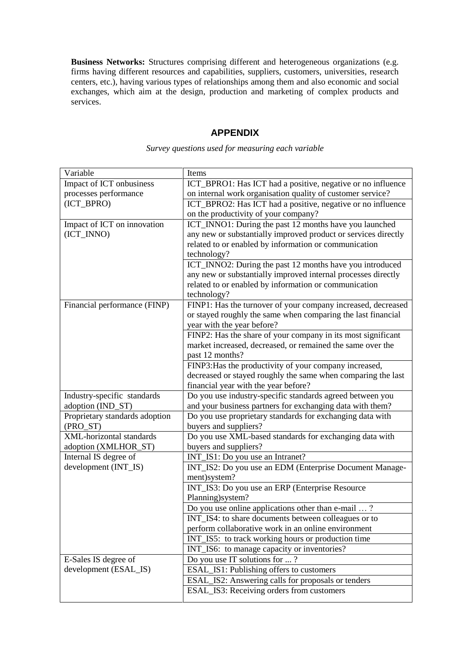**Business Networks:** Structures comprising different and heterogeneous organizations (e.g. firms having different resources and capabilities, suppliers, customers, universities, research centers, etc.), having various types of relationships among them and also economic and social exchanges, which aim at the design, production and marketing of complex products and services.

### **APPENDIX**

| Variable                       | Items                                                          |  |
|--------------------------------|----------------------------------------------------------------|--|
| Impact of ICT onbusiness       | ICT_BPRO1: Has ICT had a positive, negative or no influence    |  |
| processes performance          | on internal work organisation quality of customer service?     |  |
| (ICT_BPRO)                     | ICT_BPRO2: Has ICT had a positive, negative or no influence    |  |
|                                | on the productivity of your company?                           |  |
| Impact of ICT on innovation    | ICT_INNO1: During the past 12 months have you launched         |  |
| (ICT_INNO)                     | any new or substantially improved product or services directly |  |
|                                | related to or enabled by information or communication          |  |
|                                | technology?                                                    |  |
|                                | ICT_INNO2: During the past 12 months have you introduced       |  |
|                                | any new or substantially improved internal processes directly  |  |
|                                | related to or enabled by information or communication          |  |
|                                | technology?                                                    |  |
| Financial performance (FINP)   | FINP1: Has the turnover of your company increased, decreased   |  |
|                                | or stayed roughly the same when comparing the last financial   |  |
|                                | year with the year before?                                     |  |
|                                | FINP2: Has the share of your company in its most significant   |  |
|                                | market increased, decreased, or remained the same over the     |  |
|                                | past 12 months?                                                |  |
|                                | FINP3: Has the productivity of your company increased,         |  |
|                                | decreased or stayed roughly the same when comparing the last   |  |
|                                | financial year with the year before?                           |  |
| Industry-specific standards    | Do you use industry-specific standards agreed between you      |  |
| adoption (IND_ST)              | and your business partners for exchanging data with them?      |  |
| Proprietary standards adoption | Do you use proprietary standards for exchanging data with      |  |
| (PRO_ST)                       | buyers and suppliers?                                          |  |
| XML-horizontal standards       | Do you use XML-based standards for exchanging data with        |  |
| adoption (XMLHOR_ST)           | buyers and suppliers?                                          |  |
| Internal IS degree of          | INT_IS1: Do you use an Intranet?                               |  |
| development (INT_IS)           | INT_IS2: Do you use an EDM (Enterprise Document Manage-        |  |
|                                | ment)system?                                                   |  |
|                                | INT_IS3: Do you use an ERP (Enterprise Resource)               |  |
|                                | Planning) system?                                              |  |
|                                | Do you use online applications other than e-mail ?             |  |
|                                | INT_IS4: to share documents between colleagues or to           |  |
|                                | perform collaborative work in an online environment            |  |
|                                | INT_IS5: to track working hours or production time             |  |
|                                | INT_IS6: to manage capacity or inventories?                    |  |
| E-Sales IS degree of           | Do you use IT solutions for ?                                  |  |
| development (ESAL_IS)          | ESAL_IS1: Publishing offers to customers                       |  |
|                                | ESAL_IS2: Answering calls for proposals or tenders             |  |
|                                | ESAL_IS3: Receiving orders from customers                      |  |
|                                |                                                                |  |

*Survey questions used for measuring each variable*